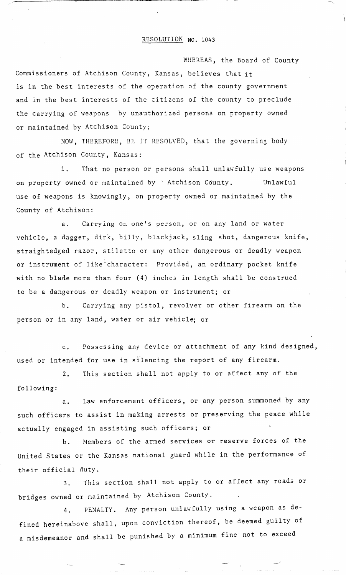WHEREAS, the Board of County Commissioners of Atchison County, Kansas, believes that it is in the best interests of the operation of the county government and in the best interests of the citizens of the county to preclude the carrying of weapons by unauthorized persons on property owned or maintained by Atchison County;

NOW, THEREFORE, BE IT RESOLVED, that the governing body of the Atchison County, Kansas:

1. That no person or persons shall unlawfully use weapons on property owned or maintained by Atchison County. Unlawful use of weapons is knowingly, on property owned or maintained by the County of Atchison:

a. Carrying on one's person, or on any land or water vehicle, a dagger, dirk, billy, blackjack, sling shot, dangerous knife, straightedged razor, stiletto or any other dangerous or deadly weapon or instrument of like character: Provided, an ordinary pocket knife with no blade more than four (4) inches in length shall be construed to be a dangerous or deadly weapon or instrument; or

b. Carrying any pistol, revolver or other firearm on the person or in any land, water or air vehicle; or

c. Possessing any device or attachment of any kind designed, used or intended for use in silencing the report of any firearm.

2. This section shall not apply to or affect any of the following:

a. Law enforcement officers, or any person summoned by any such officers to assist in making arrests or preserving the peace while actually engaged in assisting such officers; or

b. Members of the armed services or reserve forces of the United States or the Kansas national guard while in the performance of their official duty.

3. This section shall not apply to or affect any roads or bridges owned or maintained by Atchison County.

4. PENALTY. Any person unlawfully using a weapon as defined hereinabove shall, upon conviction thereof, be deemed guilty of a misdemeanor and shall be punished by a minimum fine not to exceed